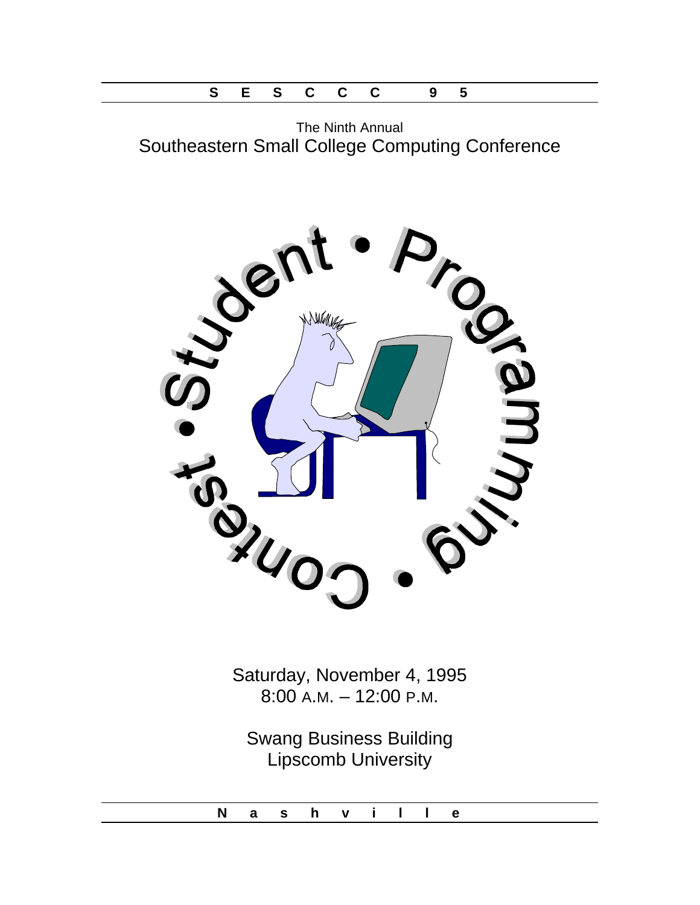The Ninth Annual Southeastern Small College Computing Conference



Saturday, November 4, 1995 8:00 A.M. – 12:00 P.M.

Swang Business Building Lipscomb University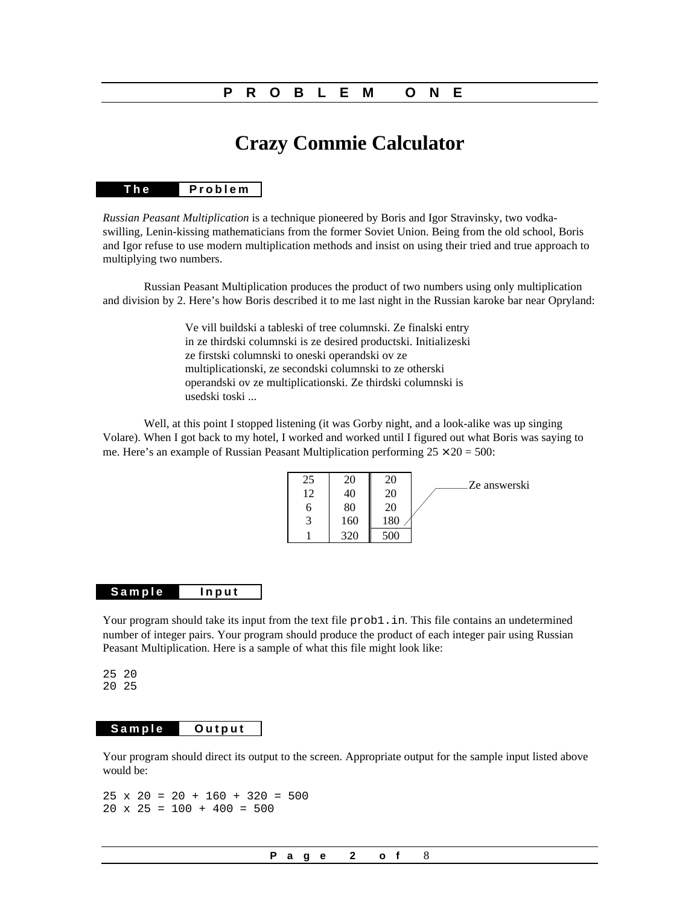### **PROBLEM ONE**

# **Crazy Commie Calculator**

#### **The Problem**

*Russian Peasant Multiplication* is a technique pioneered by Boris and Igor Stravinsky, two vodkaswilling, Lenin-kissing mathematicians from the former Soviet Union. Being from the old school, Boris and Igor refuse to use modern multiplication methods and insist on using their tried and true approach to multiplying two numbers.

Russian Peasant Multiplication produces the product of two numbers using only multiplication and division by 2. Here's how Boris described it to me last night in the Russian karoke bar near Opryland:

> Ve vill buildski a tableski of tree columnski. Ze finalski entry in ze thirdski columnski is ze desired productski. Initializeski ze firstski columnski to oneski operandski ov ze multiplicationski, ze secondski columnski to ze otherski operandski ov ze multiplicationski. Ze thirdski columnski is usedski toski ...

Well, at this point I stopped listening (it was Gorby night, and a look-alike was up singing Volare). When I got back to my hotel, I worked and worked until I figured out what Boris was saying to me. Here's an example of Russian Peasant Multiplication performing  $25 \times 20 = 500$ :



#### **Sample Input**

Your program should take its input from the text file prob1. in. This file contains an undetermined number of integer pairs. Your program should produce the product of each integer pair using Russian Peasant Multiplication. Here is a sample of what this file might look like:

25 20 20 25

### **Sample Output**

Your program should direct its output to the screen. Appropriate output for the sample input listed above would be:

 $25 \times 20 = 20 + 160 + 320 = 500$  $20 \times 25 = 100 + 400 = 500$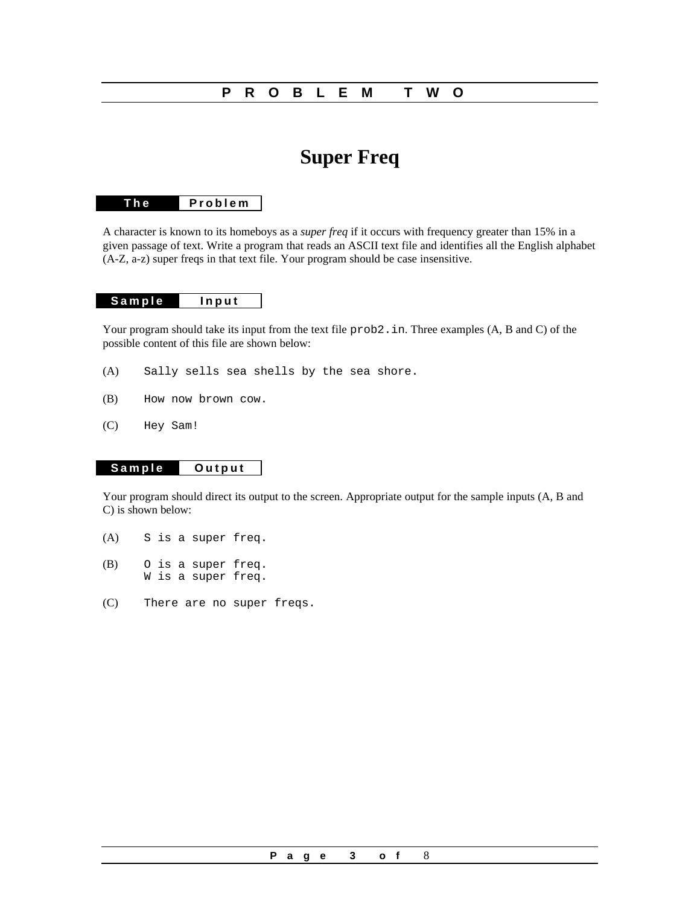### **PROBLEM TWO**

# **Super Freq**

### **The Problem**

A character is known to its homeboys as a *super freq* if it occurs with frequency greater than 15% in a given passage of text. Write a program that reads an ASCII text file and identifies all the English alphabet (A-Z, a-z) super freqs in that text file. Your program should be case insensitive.

### **Sample Input**

Your program should take its input from the text file  $\text{prob2}.$  in. Three examples (A, B and C) of the possible content of this file are shown below:

- (A) Sally sells sea shells by the sea shore.
- (B) How now brown cow.
- (C) Hey Sam!

### **Sample Output**

Your program should direct its output to the screen. Appropriate output for the sample inputs (A, B and C) is shown below:

- (A) S is a super freq.
- (B) O is a super freq. W is a super freq.
- (C) There are no super freqs.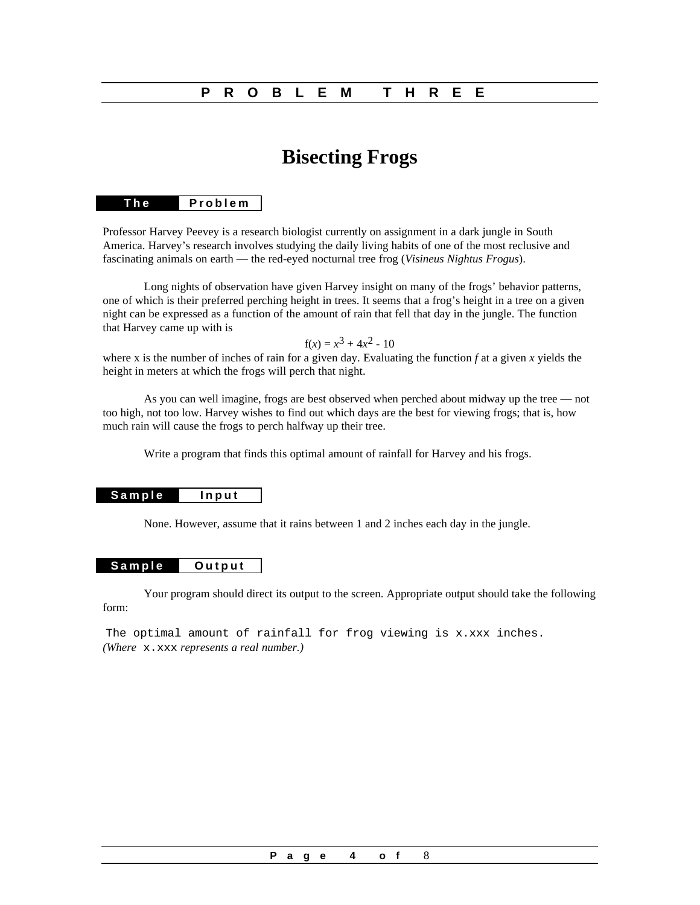### **PROBLEM THREE**

# **Bisecting Frogs**

### **The Problem**

Professor Harvey Peevey is a research biologist currently on assignment in a dark jungle in South America. Harvey's research involves studying the daily living habits of one of the most reclusive and fascinating animals on earth — the red-eyed nocturnal tree frog (*Visineus Nightus Frogus*).

Long nights of observation have given Harvey insight on many of the frogs' behavior patterns, one of which is their preferred perching height in trees. It seems that a frog's height in a tree on a given night can be expressed as a function of the amount of rain that fell that day in the jungle. The function that Harvey came up with is

### $f(x) = x^3 + 4x^2 - 10$

where x is the number of inches of rain for a given day. Evaluating the function *f* at a given *x* yields the height in meters at which the frogs will perch that night.

As you can well imagine, frogs are best observed when perched about midway up the tree — not too high, not too low. Harvey wishes to find out which days are the best for viewing frogs; that is, how much rain will cause the frogs to perch halfway up their tree.

Write a program that finds this optimal amount of rainfall for Harvey and his frogs.

#### **Sample Input**

None. However, assume that it rains between 1 and 2 inches each day in the jungle.

### **Sample Output**

Your program should direct its output to the screen. Appropriate output should take the following form:

The optimal amount of rainfall for frog viewing is x.xxx inches. *(Where* x.xxx *represents a real number.)*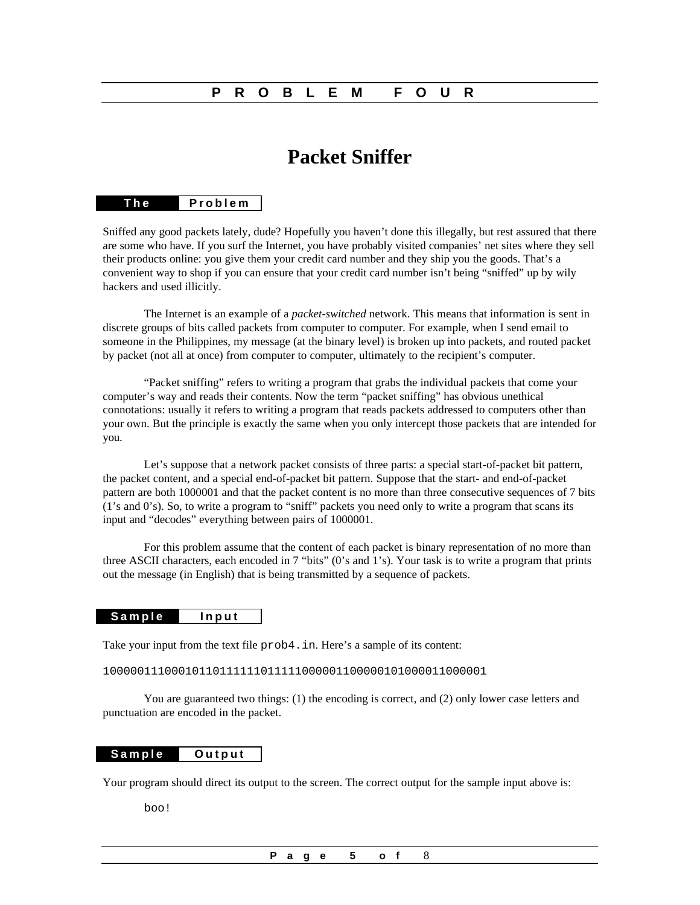### **PROBLEM FOUR**

# **Packet Sniffer**

### **The Problem**

Sniffed any good packets lately, dude? Hopefully you haven't done this illegally, but rest assured that there are some who have. If you surf the Internet, you have probably visited companies' net sites where they sell their products online: you give them your credit card number and they ship you the goods. That's a convenient way to shop if you can ensure that your credit card number isn't being "sniffed" up by wily hackers and used illicitly.

The Internet is an example of a *packet-switched* network. This means that information is sent in discrete groups of bits called packets from computer to computer. For example, when I send email to someone in the Philippines, my message (at the binary level) is broken up into packets, and routed packet by packet (not all at once) from computer to computer, ultimately to the recipient's computer.

"Packet sniffing" refers to writing a program that grabs the individual packets that come your computer's way and reads their contents. Now the term "packet sniffing" has obvious unethical connotations: usually it refers to writing a program that reads packets addressed to computers other than your own. But the principle is exactly the same when you only intercept those packets that are intended for you.

Let's suppose that a network packet consists of three parts: a special start-of-packet bit pattern, the packet content, and a special end-of-packet bit pattern. Suppose that the start- and end-of-packet pattern are both 1000001 and that the packet content is no more than three consecutive sequences of 7 bits (1's and 0's). So, to write a program to "sniff" packets you need only to write a program that scans its input and "decodes" everything between pairs of 1000001.

For this problem assume that the content of each packet is binary representation of no more than three ASCII characters, each encoded in 7 "bits" (0's and 1's). Your task is to write a program that prints out the message (in English) that is being transmitted by a sequence of packets.

#### **Sample Input**

Take your input from the text file prob4.in. Here's a sample of its content:

### 10000011100010110111111011111000001100000101000011000001

You are guaranteed two things: (1) the encoding is correct, and (2) only lower case letters and punctuation are encoded in the packet.

### **Sample Output**

Your program should direct its output to the screen. The correct output for the sample input above is:

boo!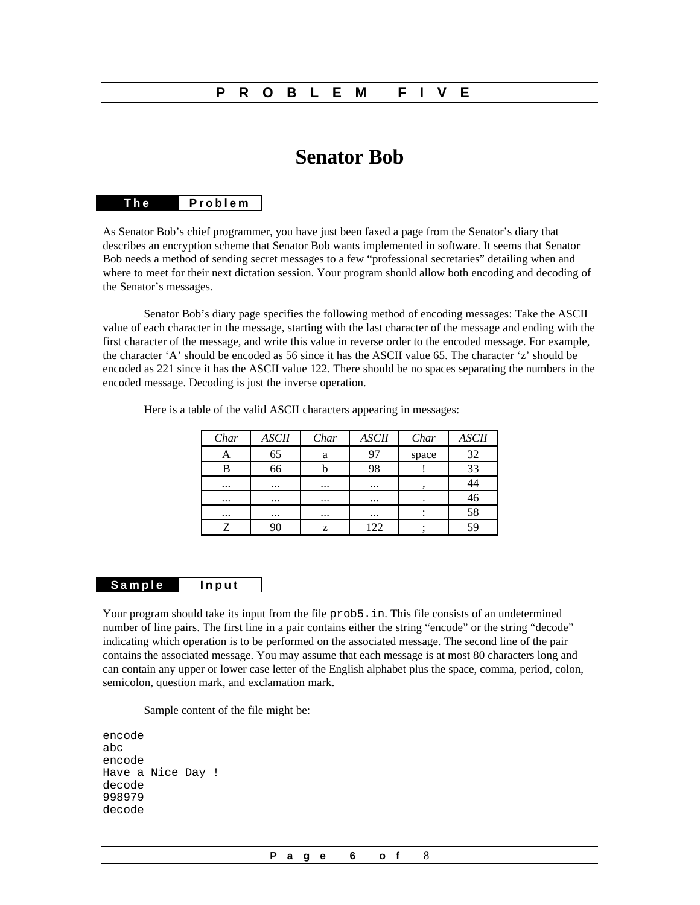### **PROBLEM FIVE**

# **Senator Bob**

### **The Problem**

As Senator Bob's chief programmer, you have just been faxed a page from the Senator's diary that describes an encryption scheme that Senator Bob wants implemented in software. It seems that Senator Bob needs a method of sending secret messages to a few "professional secretaries" detailing when and where to meet for their next dictation session. Your program should allow both encoding and decoding of the Senator's messages.

Senator Bob's diary page specifies the following method of encoding messages: Take the ASCII value of each character in the message, starting with the last character of the message and ending with the first character of the message, and write this value in reverse order to the encoded message. For example, the character 'A' should be encoded as 56 since it has the ASCII value 65. The character 'z' should be encoded as 221 since it has the ASCII value 122. There should be no spaces separating the numbers in the encoded message. Decoding is just the inverse operation.

| Char     | <b>ASCII</b> | Char     | <b>ASCII</b> | Char  | <b>ASCII</b> |
|----------|--------------|----------|--------------|-------|--------------|
|          | 65           | a        | 97           | space | 32           |
| В        | 66           |          | 98           |       | 33           |
| $\cdots$ | $\cdots$     | $\cdots$ | $\cdots$     |       |              |
| $\cdots$ | $\cdots$     | $\cdots$ | $\cdots$     |       | 46           |
| $\cdots$ | $\cdots$     | $\cdots$ | $\cdots$     |       | 58           |
| 7        |              | z        | 122          |       | 59           |

Here is a table of the valid ASCII characters appearing in messages:

### **Sample Input**

Your program should take its input from the file prob5. in. This file consists of an undetermined number of line pairs. The first line in a pair contains either the string "encode" or the string "decode" indicating which operation is to be performed on the associated message. The second line of the pair contains the associated message. You may assume that each message is at most 80 characters long and can contain any upper or lower case letter of the English alphabet plus the space, comma, period, colon, semicolon, question mark, and exclamation mark.

Sample content of the file might be:

```
encode
abc
encode
Have a Nice Day !
decode
998979
decode
```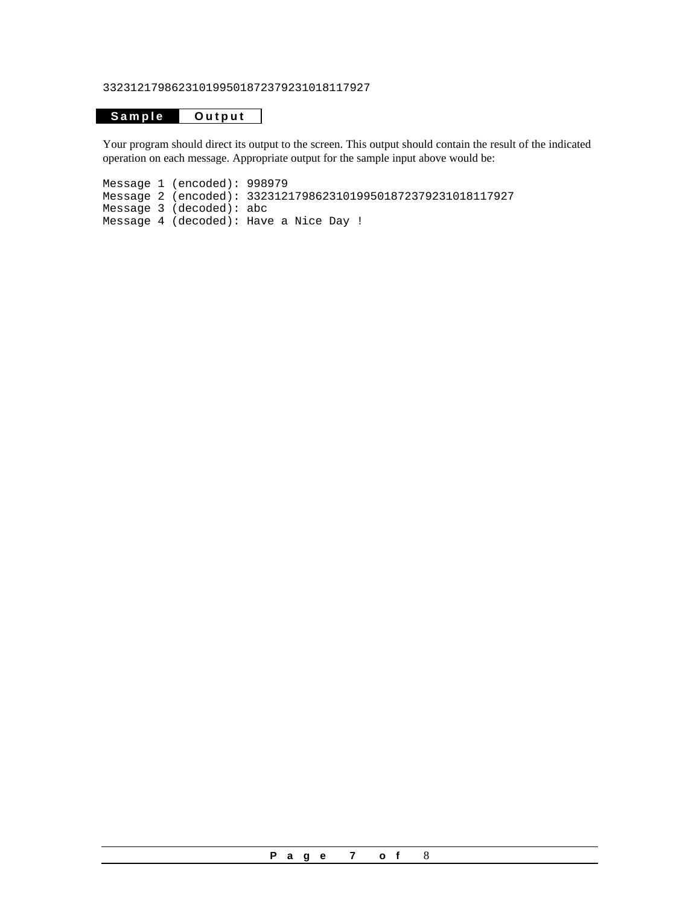332312179862310199501872379231018117927

### **Sample Output**

Your program should direct its output to the screen. This output should contain the result of the indicated operation on each message. Appropriate output for the sample input above would be:

Message 1 (encoded): 998979 Message 2 (encoded): 332312179862310199501872379231018117927 Message 3 (decoded): abc Message 4 (decoded): Have a Nice Day !